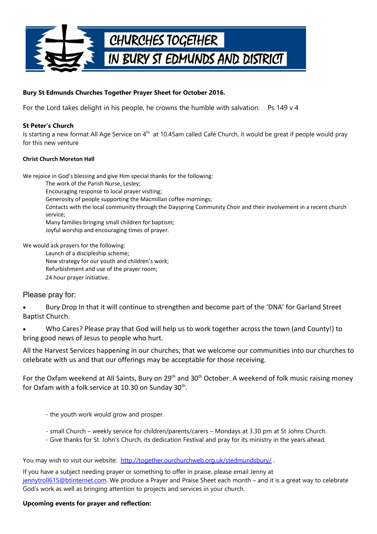

## **Bury St Edmunds Churches Together Prayer Sheet for October 2016.**

For the Lord takes delight in his people, he crowns the humble with salvation. Ps 149  $\vee$  4

### **St Peter's Church**

Is starting a new format All Age Service on 4<sup>th</sup> at 10.45am called Café Church, it would be great if people would pray for this new venture

#### **Christ Church Moreton Hall**

We rejoice in God's blessing and give Him special thanks for the following:

- The work of the Parish Nurse, Lesley;
- Encouraging response to local prayer visiting;
- Generosity of people supporting the Macmillan coffee mornings;
- Contacts with the local community through the Dayspring Community Choir and their involvement in a recent church service;
- Many families bringing small children for baptism;
- Joyful worship and encouraging times of prayer.

We would ask prayers for the following:

- Launch of a discipleship scheme; New strategy for our youth and children's work;
- Refurbishment and use of the prayer room;
- 24 hour prayer initiative.

# Please pray for:

- Bury Drop In that it will continue to strengthen and become part of the 'DNA' for Garland Street Baptist Church.
- Who Cares? Please pray that God will help us to work together across the town (and County!) to bring good news of Jesus to people who hurt.
- All the Harvest Services happening in our churches, that we welcome our communities into our churches to celebrate with us and that our offerings may be acceptable for those receiving.

For the Oxfam weekend at All Saints, Bury on 29<sup>th</sup> and 30<sup>th</sup> October. A weekend of folk music raising money for Oxfam with a folk service at 10.30 on Sunday 30<sup>th</sup>.

- the youth work would grow and prosper.
- small Church weekly service for children/parents/carers Mondays at 3.30 pm at St Johns Church.
- Give thanks for St. John's Church, its dedication Festival and pray for its ministry in the years ahead.

You may wish to visit our website: http://together.ourchurchweb.org.uk/stedmundsbury/.

If you have a subject needing prayer or something to offer in praise, please email Jenny at [jennytroll615@btinternet.com.](mailto:jennytroll615@btinternet.com) We produce a Prayer and Praise Sheet each month – and it is a great way to celebrate God's work as well as bringing attention to projects and services in your church.

### **Upcoming events for prayer and reflection:**